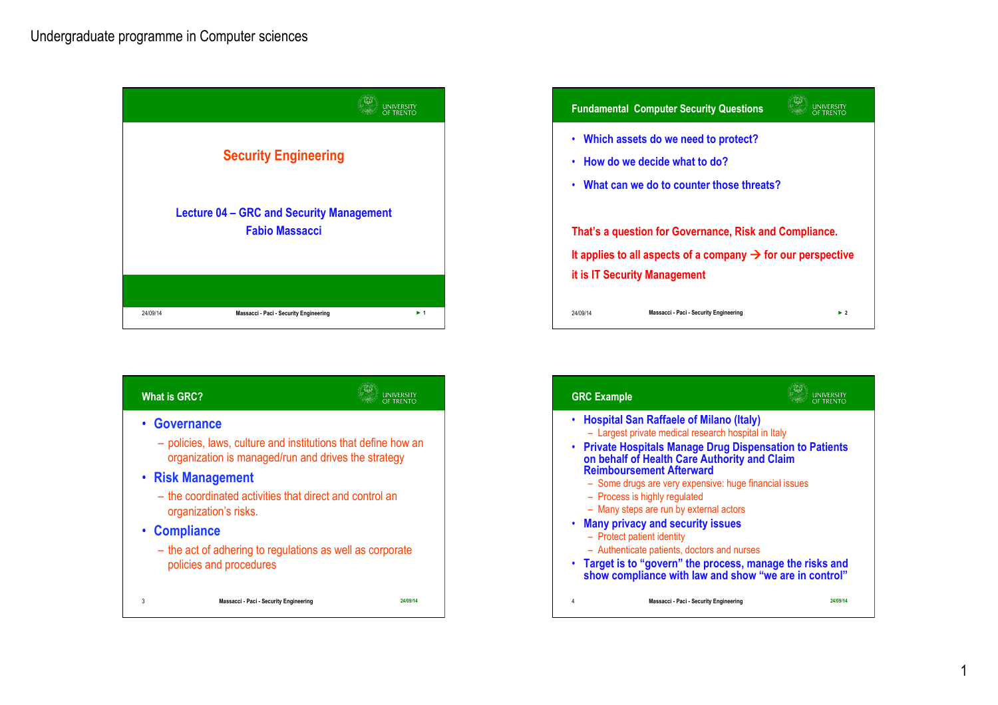





1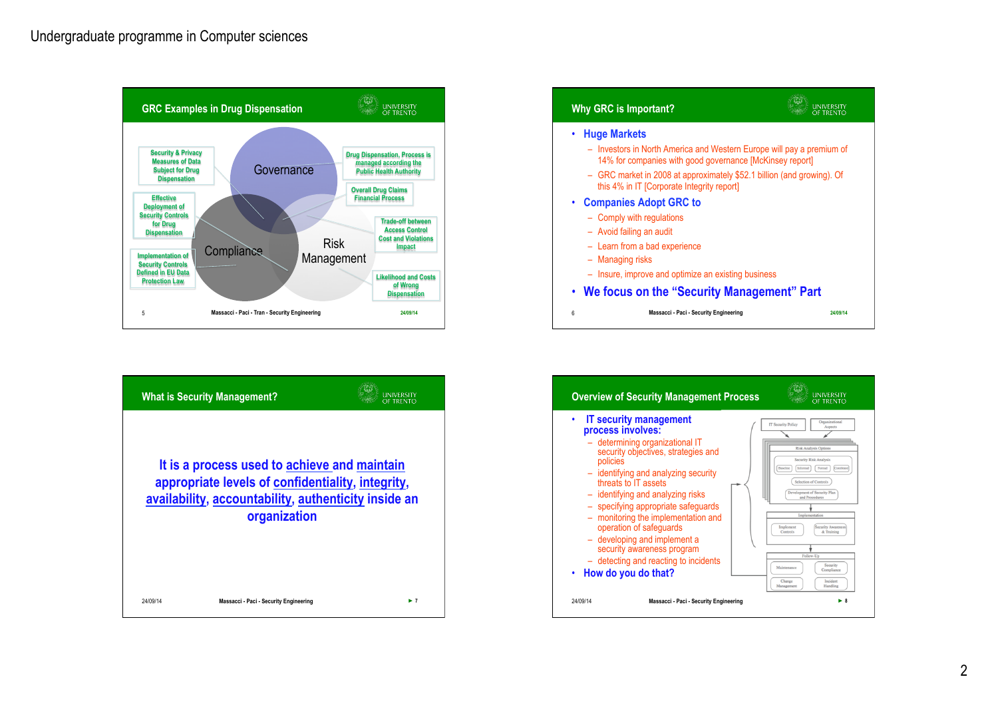

|          | <b>What is Security Management?</b>                                                                                                                       | LINIVERSITY |
|----------|-----------------------------------------------------------------------------------------------------------------------------------------------------------|-------------|
|          | It is a process used to achieve and maintain<br>appropriate levels of confidentiality, integrity,<br>availability, accountability, authenticity inside an |             |
|          | organization                                                                                                                                              |             |
| 24/09/14 | Massacci - Paci - Security Engineering                                                                                                                    |             |



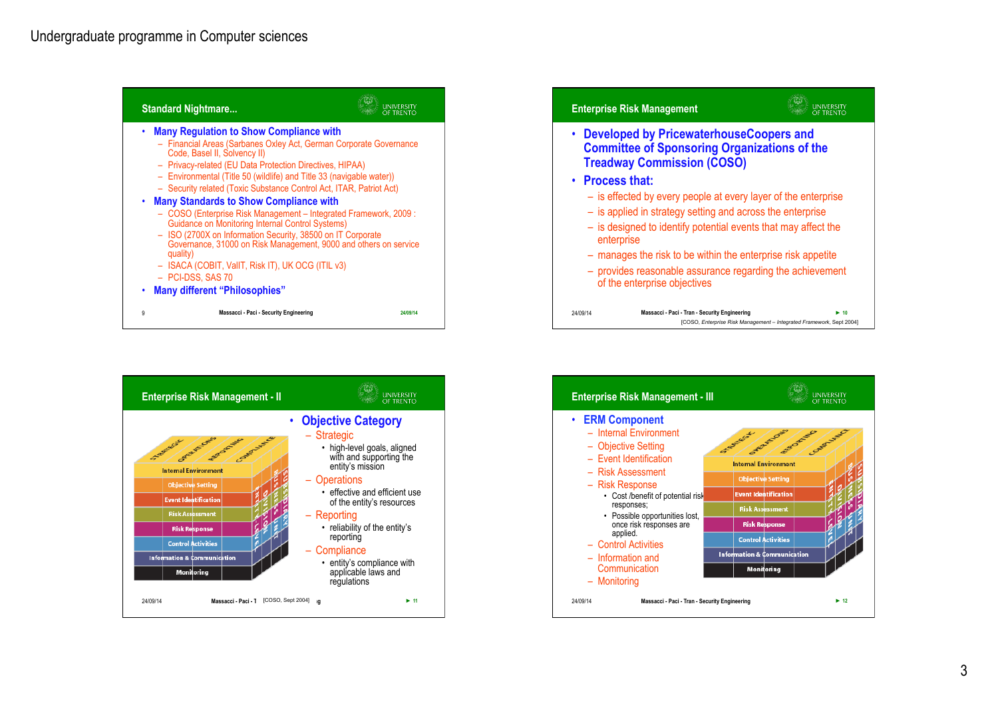





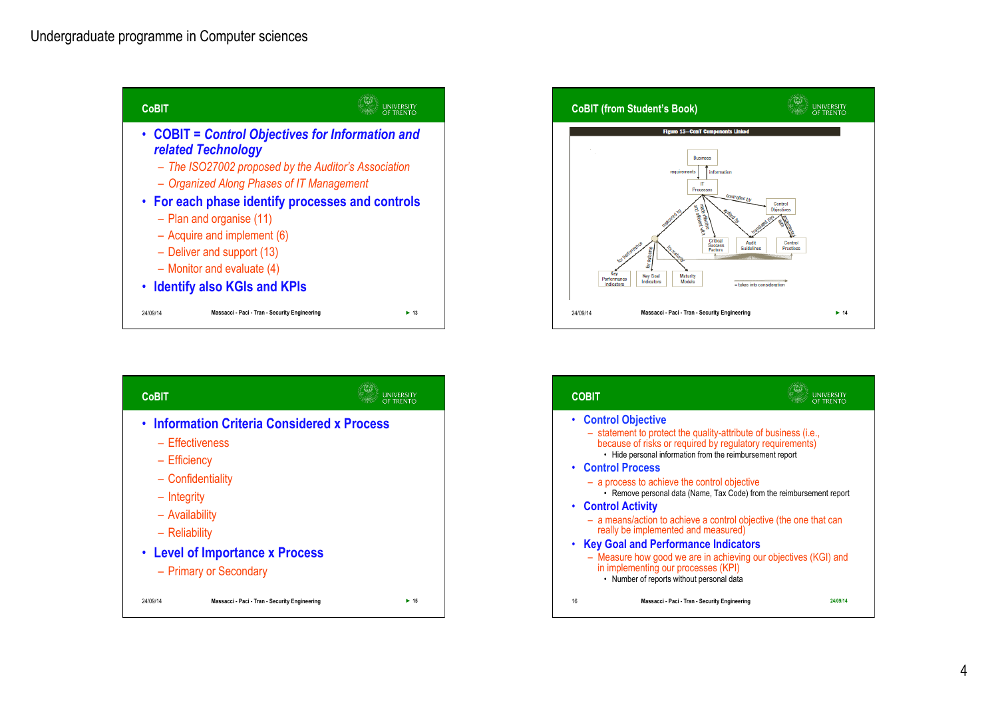





| <b>COBIT</b>                          |                                                                                                                                                                                          |                                                                       |
|---------------------------------------|------------------------------------------------------------------------------------------------------------------------------------------------------------------------------------------|-----------------------------------------------------------------------|
| • Control Objective                   | - statement to protect the quality-attribute of business (i.e.,<br>because of risks or required by regulatory requirements)<br>• Hide personal information from the reimbursement report |                                                                       |
| • Control Process                     |                                                                                                                                                                                          |                                                                       |
|                                       | - a process to achieve the control objective                                                                                                                                             | • Remove personal data (Name, Tax Code) from the reimbursement report |
| • Control Activity                    |                                                                                                                                                                                          |                                                                       |
|                                       | really be implemented and measured)                                                                                                                                                      | - a means/action to achieve a control objective (the one that can     |
| • Key Goal and Performance Indicators |                                                                                                                                                                                          |                                                                       |
|                                       | in implementing our processes (KPI)<br>• Number of reports without personal data                                                                                                         | - Measure how good we are in achieving our objectives (KGI) and       |
| 16                                    | Massacci - Paci - Tran - Security Engineering                                                                                                                                            | 24/09/14                                                              |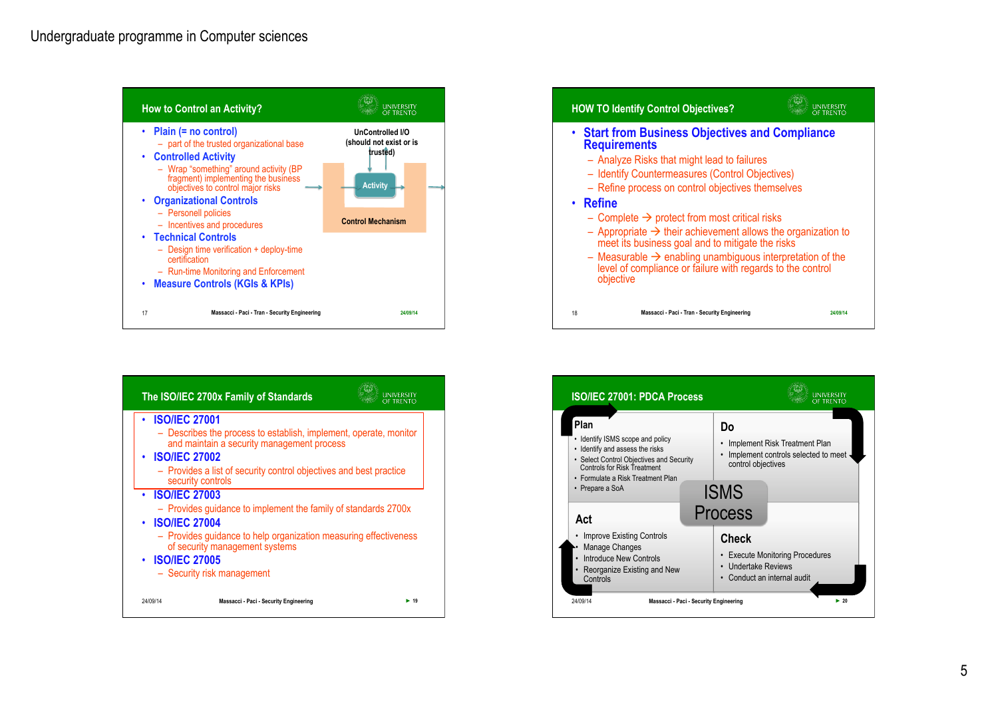





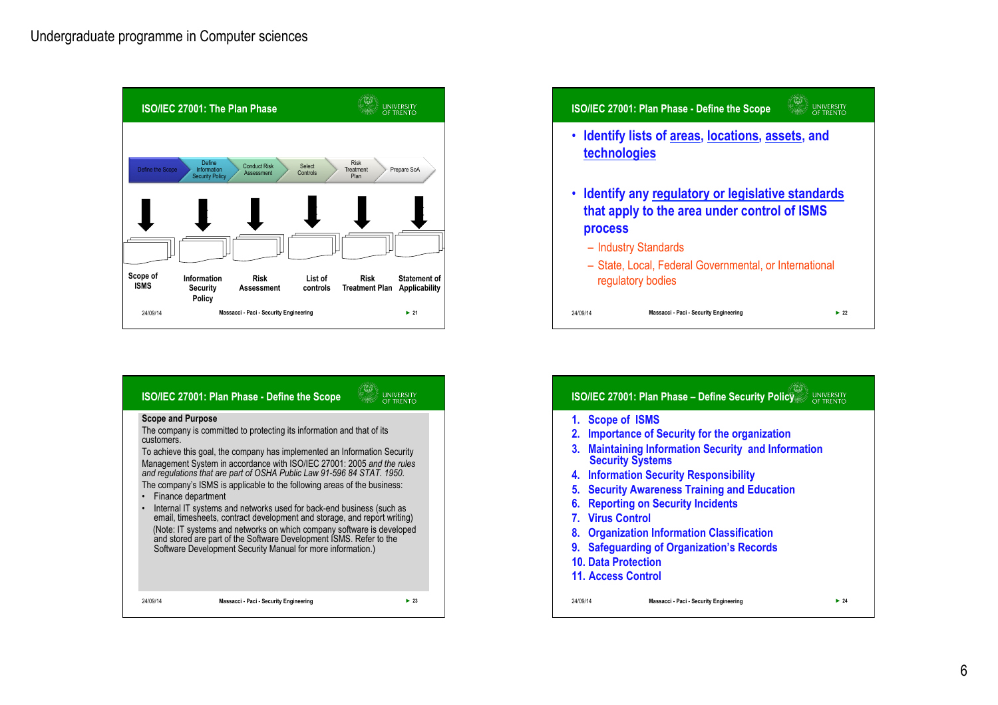

| <b>ISO/IEC 27001: Plan Phase - Define the Scope</b>                                                                                                                                                                                                                                                                                                                                                                                                                                                                                                                                                                                                                                                                                                                                                                                |  |
|------------------------------------------------------------------------------------------------------------------------------------------------------------------------------------------------------------------------------------------------------------------------------------------------------------------------------------------------------------------------------------------------------------------------------------------------------------------------------------------------------------------------------------------------------------------------------------------------------------------------------------------------------------------------------------------------------------------------------------------------------------------------------------------------------------------------------------|--|
| <b>Scope and Purpose</b><br>The company is committed to protecting its information and that of its<br>customers.<br>To achieve this goal, the company has implemented an Information Security<br>Management System in accordance with ISO/IEC 27001: 2005 and the rules<br>and regulations that are part of OSHA Public Law 91-596 84 STAT. 1950.<br>The company's ISMS is applicable to the following areas of the business:<br>Finance department<br>Internal IT systems and networks used for back-end business (such as<br>$\bullet$<br>email, timesheets, contract development and storage, and report writing)<br>(Note: IT systems and networks on which company software is developed<br>and stored are part of the Software Development ISMS. Refer to the<br>Software Development Security Manual for more information.) |  |
| Massacci - Paci - Security Engineering<br>$\blacktriangleright$ 23<br>24/09/14                                                                                                                                                                                                                                                                                                                                                                                                                                                                                                                                                                                                                                                                                                                                                     |  |
|                                                                                                                                                                                                                                                                                                                                                                                                                                                                                                                                                                                                                                                                                                                                                                                                                                    |  |



|      | 1. Scope of ISMS                                                                   |
|------|------------------------------------------------------------------------------------|
| 2.   | <b>Importance of Security for the organization</b>                                 |
| 3.   | <b>Maintaining Information Security and Information</b><br><b>Security Systems</b> |
|      | 4. Information Security Responsibility                                             |
|      | 5. Security Awareness Training and Education                                       |
| 6.   | <b>Reporting on Security Incidents</b>                                             |
|      | <b>7. Virus Control</b>                                                            |
|      | 8. Organization Information Classification                                         |
| 9. . | <b>Safeguarding of Organization's Records</b>                                      |
|      | <b>10. Data Protection</b>                                                         |
|      | <b>11. Access Control</b>                                                          |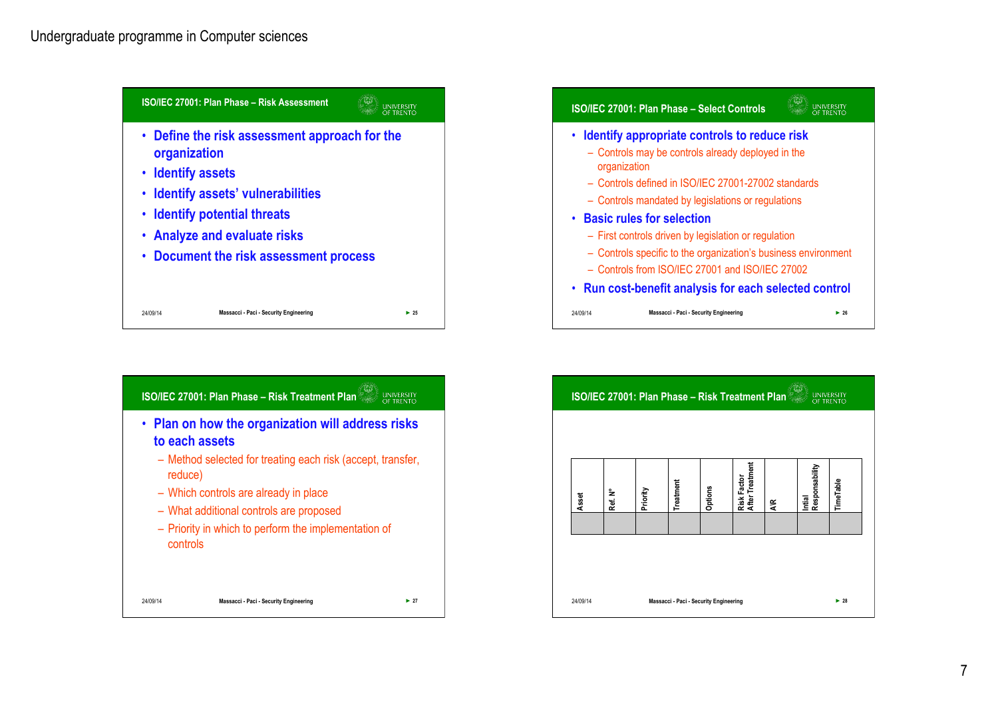





| <b>ISO/IEC 27001: Plan Phase - Risk Treatment Plan</b> |         |          |                                        |         |                                |   | <b>UNIVERSITY</b><br>OF TRENTO |                          |
|--------------------------------------------------------|---------|----------|----------------------------------------|---------|--------------------------------|---|--------------------------------|--------------------------|
|                                                        |         |          |                                        |         |                                |   |                                |                          |
| Asset                                                  | Ref. N° | Priority | Treatment                              | Options | Risk Factor<br>After Treatment | ۴ | Intial<br>Responsability       | TimeTable                |
|                                                        |         |          |                                        |         |                                |   |                                |                          |
|                                                        |         |          |                                        |         |                                |   |                                |                          |
| 24/09/14                                               |         |          | Massacci - Paci - Security Engineering |         |                                |   |                                | $\blacktriangleright$ 28 |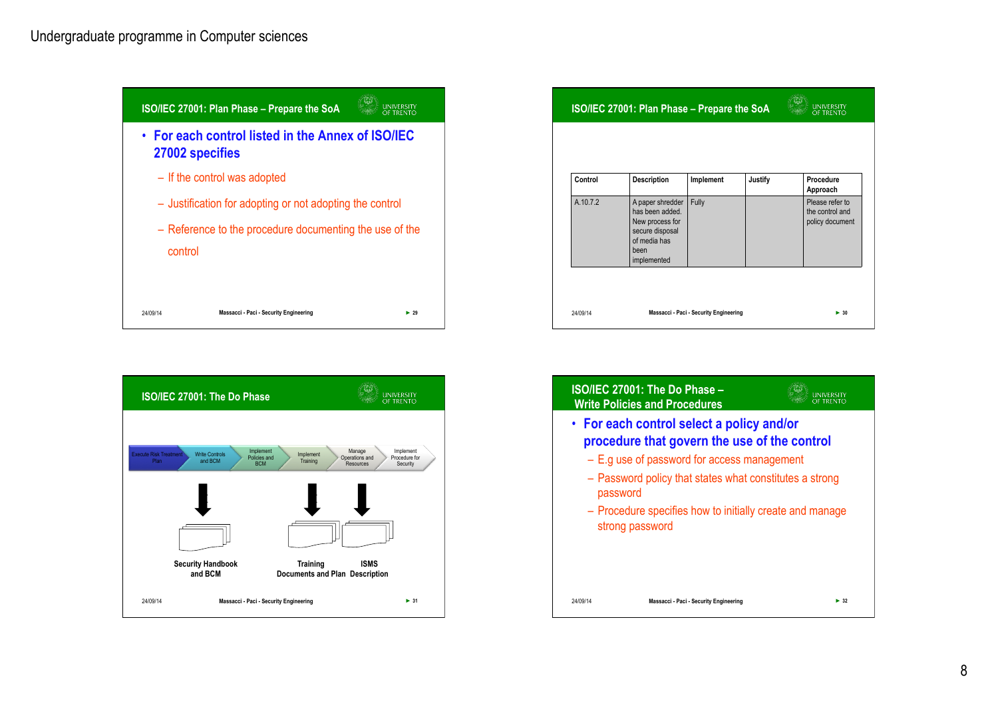



| Control  | <b>Description</b>                                                                                               | Implement | <b>Justify</b> | Procedure<br>Approach                                 |
|----------|------------------------------------------------------------------------------------------------------------------|-----------|----------------|-------------------------------------------------------|
| A.10.7.2 | A paper shredder<br>has been added.<br>New process for<br>secure disposal<br>of media has<br>been<br>implemented | Fully     |                | Please refer to<br>the control and<br>policy document |

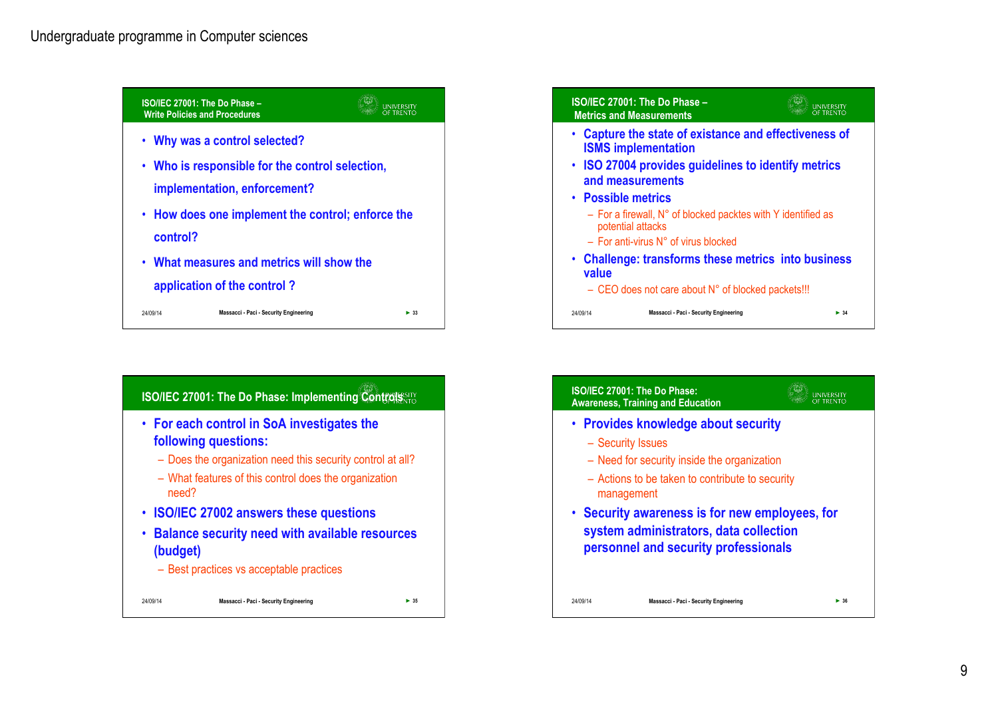



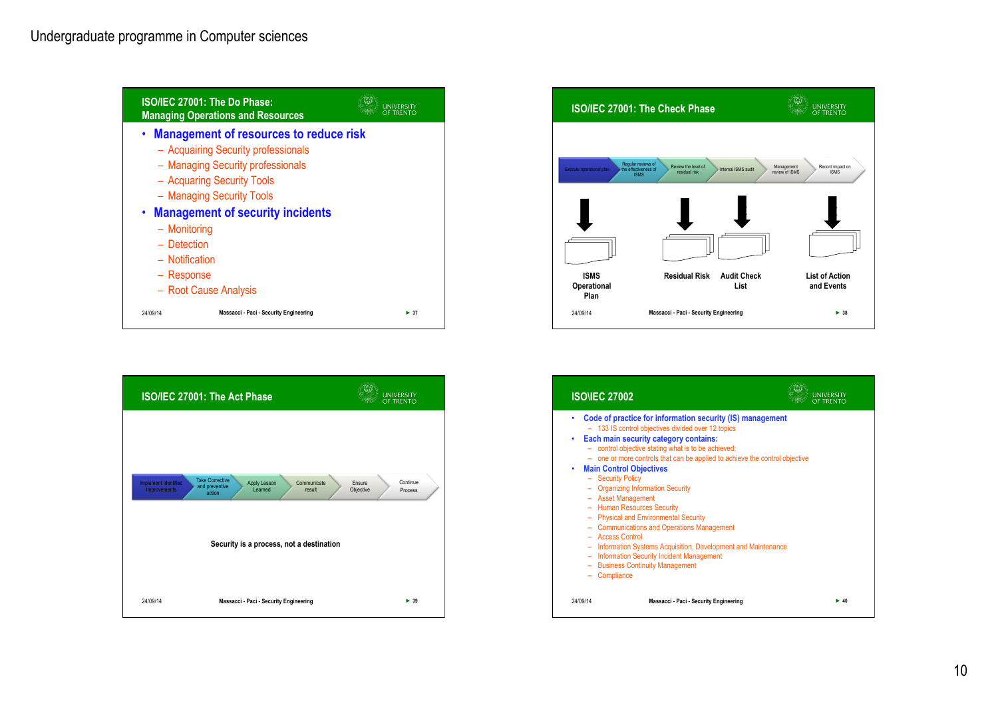





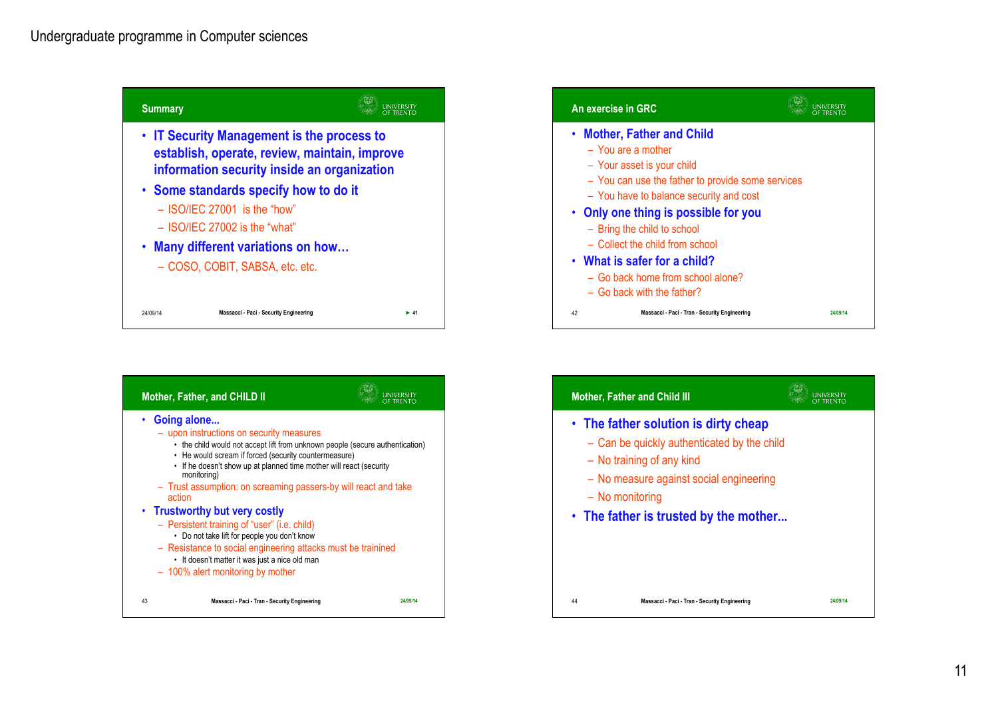





UNIVERSITY